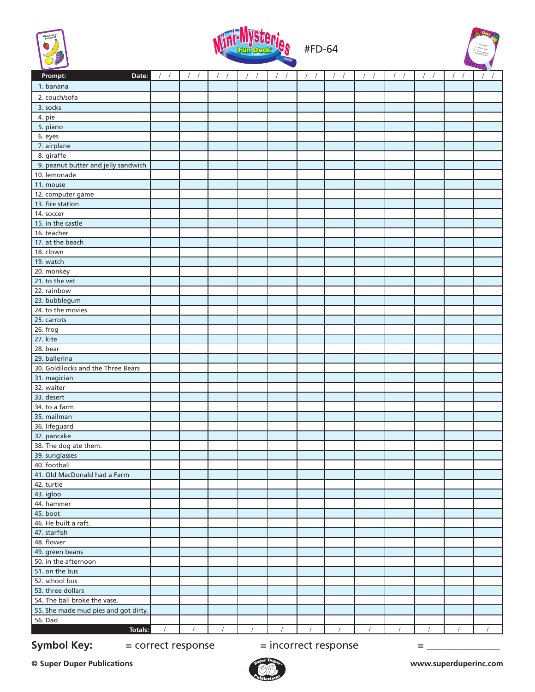





| Prompt:<br>Date:                                  | $\prime$ |  |  |  |  | $\sqrt{2}$<br>$\sqrt{ }$ | $\overline{1}$<br>$\prime$ |
|---------------------------------------------------|----------|--|--|--|--|--------------------------|----------------------------|
| 1. banana                                         |          |  |  |  |  |                          |                            |
| 2. couch/sofa                                     |          |  |  |  |  |                          |                            |
|                                                   |          |  |  |  |  |                          |                            |
| 3. socks                                          |          |  |  |  |  |                          |                            |
| 4. pie<br>5. piano                                |          |  |  |  |  |                          |                            |
|                                                   |          |  |  |  |  |                          |                            |
| 6. eyes                                           |          |  |  |  |  |                          |                            |
| 7. airplane                                       |          |  |  |  |  |                          |                            |
| 8. giraffe<br>9. peanut butter and jelly sandwich |          |  |  |  |  |                          |                            |
| 10. lemonade                                      |          |  |  |  |  |                          |                            |
| 11. mouse                                         |          |  |  |  |  |                          |                            |
| 12. computer game                                 |          |  |  |  |  |                          |                            |
| 13. fire station                                  |          |  |  |  |  |                          |                            |
| 14. soccer                                        |          |  |  |  |  |                          |                            |
| 15. in the castle                                 |          |  |  |  |  |                          |                            |
| 16. teacher                                       |          |  |  |  |  |                          |                            |
| 17. at the beach                                  |          |  |  |  |  |                          |                            |
| 18. clown                                         |          |  |  |  |  |                          |                            |
| 19. watch                                         |          |  |  |  |  |                          |                            |
| 20. monkey                                        |          |  |  |  |  |                          |                            |
| 21. to the vet                                    |          |  |  |  |  |                          |                            |
| 22. rainbow                                       |          |  |  |  |  |                          |                            |
| 23. bubblegum                                     |          |  |  |  |  |                          |                            |
| 24. to the movies                                 |          |  |  |  |  |                          |                            |
| 25. carrots                                       |          |  |  |  |  |                          |                            |
| 26. frog                                          |          |  |  |  |  |                          |                            |
| 27. kite                                          |          |  |  |  |  |                          |                            |
| 28. bear                                          |          |  |  |  |  |                          |                            |
| 29. ballerina                                     |          |  |  |  |  |                          |                            |
| 30. Goldilocks and the Three Bears                |          |  |  |  |  |                          |                            |
| 31. magician                                      |          |  |  |  |  |                          |                            |
| 32. waiter                                        |          |  |  |  |  |                          |                            |
| 33. desert                                        |          |  |  |  |  |                          |                            |
| 34. to a farm                                     |          |  |  |  |  |                          |                            |
| 35. mailman                                       |          |  |  |  |  |                          |                            |
| 36. lifeguard                                     |          |  |  |  |  |                          |                            |
| 37. pancake                                       |          |  |  |  |  |                          |                            |
| 38. The dog ate them.                             |          |  |  |  |  |                          |                            |
| 39. sunglasses                                    |          |  |  |  |  |                          |                            |
| 40. football                                      |          |  |  |  |  |                          |                            |
| 41. Old MacDonald had a Farm                      |          |  |  |  |  |                          |                            |
| 42. turtle                                        |          |  |  |  |  |                          |                            |
| 43. igloo                                         |          |  |  |  |  |                          |                            |
| 44. hammer                                        |          |  |  |  |  |                          |                            |
| 45. boot                                          |          |  |  |  |  |                          |                            |
| 46. He built a raft.                              |          |  |  |  |  |                          |                            |
| 47. starfish                                      |          |  |  |  |  |                          |                            |
| 48. flower                                        |          |  |  |  |  |                          |                            |
| 49. green beans                                   |          |  |  |  |  |                          |                            |
| 50. in the afternoon                              |          |  |  |  |  |                          |                            |
| 51. on the bus                                    |          |  |  |  |  |                          |                            |
| 52. school bus                                    |          |  |  |  |  |                          |                            |
| 53. three dollars                                 |          |  |  |  |  |                          |                            |
| 54. The ball broke the vase.                      |          |  |  |  |  |                          |                            |
| 55. She made mud pies and got dirty.              |          |  |  |  |  |                          |                            |
| 56. Dad                                           |          |  |  |  |  |                          |                            |
| Totals:                                           |          |  |  |  |  |                          |                            |
|                                                   |          |  |  |  |  |                          |                            |

**Symbol Key:**  $=$  correct response  $=$  incorrect response  $=$